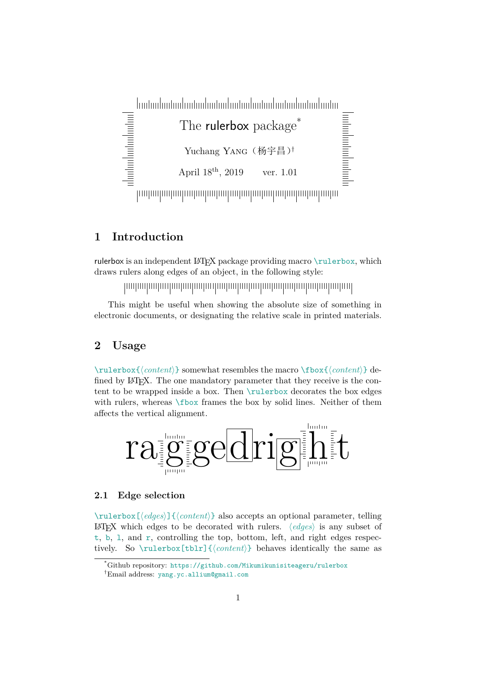daabadaabadaaha **The Continuation of the Continues of the Continues of the Continues of the Continues of the Continues of the Co** The rulerbox package Yuchang YANG (杨宇昌)<sup>†</sup> April  $18^{th}$ , 2019 ver. 1.01 

## **1 Introduction**

rulerbox is an independent LAT<sub>E</sub>X package providing macro \rulerbox, which draws rulers along edges of an object, in the following style:

This might be useful when showing the absolute size of something in electronic documents, or designating the relative scale in printed materials.

## **2 Usage**

\rulerbox{*⟨content⟩*} somewhat resembles the macro \fbox{*⟨content⟩*} defined by LAT<sub>EX</sub>. The one mandatory parameter that they receive is the content to be wrapped inside a box. Then \rulerbox decorates the box edges with rulers, whereas  $\frac{\text{fto}}{\text{mass}}$  frames the box by solid lines. Neither of them affects the vertical alignment.



## **2.1 Edge selection**

\rulerbox[*⟨edges⟩*]{*⟨content⟩*} also accepts an optional parameter, telling LATEX which edges to be decorated with rulers. *⟨edges⟩* is any subset of t, b, l, and r, controlling the top, bottom, left, and right edges respectively. So \rulerbox[tblr]{*⟨content⟩*} behaves identically the same as

<sup>\*</sup>Github repository: https://github.com/Mikumikunisiteageru/rulerbox

<sup>†</sup>Email address: yang.yc.allium@gmail.com